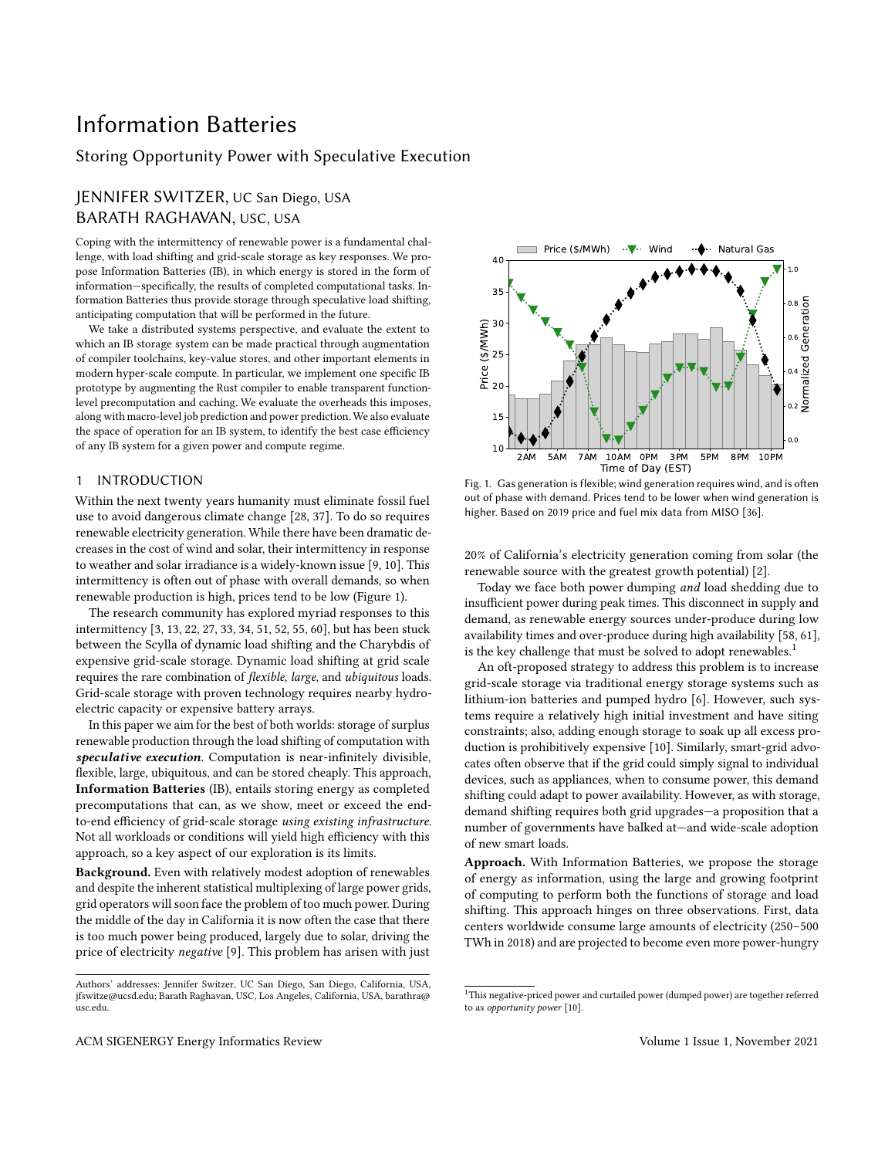# Information Batteries

## Storing Opportunity Power with Speculative Execution

## JENNIFER SWITZER, UC San Diego, USA BARATH RAGHAVAN, USC, USA

Coping with the intermittency of renewable power is a fundamental challenge, with load shifting and grid-scale storage as key responses. We propose Information Batteries (IB), in which energy is stored in the form of information—specifically, the results of completed computational tasks. Information Batteries thus provide storage through speculative load shifting, anticipating computation that will be performed in the future.

We take a distributed systems perspective, and evaluate the extent to which an IB storage system can be made practical through augmentation of compiler toolchains, key-value stores, and other important elements in modern hyper-scale compute. In particular, we implement one specific IB prototype by augmenting the Rust compiler to enable transparent functionlevel precomputation and caching. We evaluate the overheads this imposes, along with macro-level job prediction and power prediction. We also evaluate the space of operation for an IB system, to identify the best case efficiency of any IB system for a given power and compute regime.

## 1 INTRODUCTION

Within the next twenty years humanity must eliminate fossil fuel use to avoid dangerous climate change [\[28,](#page-8-0) [37\]](#page-8-1). To do so requires renewable electricity generation. While there have been dramatic decreases in the cost of wind and solar, their intermittency in response to weather and solar irradiance is a widely-known issue [\[9,](#page-8-2) [10\]](#page-8-3). This intermittency is often out of phase with overall demands, so when renewable production is high, prices tend to be low (Figure [1\)](#page-0-0).

The research community has explored myriad responses to this intermittency [\[3,](#page-8-4) [13,](#page-8-5) [22,](#page-8-6) [27,](#page-8-7) [33,](#page-8-8) [34,](#page-8-9) [51,](#page-8-10) [52,](#page-8-11) [55,](#page-8-12) [60\]](#page-9-0), but has been stuck between the Scylla of dynamic load shifting and the Charybdis of expensive grid-scale storage. Dynamic load shifting at grid scale requires the rare combination of flexible, large, and ubiquitous loads. Grid-scale storage with proven technology requires nearby hydroelectric capacity or expensive battery arrays.

In this paper we aim for the best of both worlds: storage of surplus renewable production through the load shifting of computation with speculative execution. Computation is near-infinitely divisible, flexible, large, ubiquitous, and can be stored cheaply. This approach, Information Batteries (IB), entails storing energy as completed precomputations that can, as we show, meet or exceed the endto-end efficiency of grid-scale storage using existing infrastructure. Not all workloads or conditions will yield high efficiency with this approach, so a key aspect of our exploration is its limits.

Background. Even with relatively modest adoption of renewables and despite the inherent statistical multiplexing of large power grids, grid operators will soon face the problem of too much power. During the middle of the day in California it is now often the case that there is too much power being produced, largely due to solar, driving the price of electricity negative [\[9\]](#page-8-2). This problem has arisen with just

<span id="page-0-0"></span>

Fig. 1. Gas generation is flexible; wind generation requires wind, and is often out of phase with demand. Prices tend to be lower when wind generation is higher. Based on 2019 price and fuel mix data from MISO [\[36\]](#page-8-13).

20% of California's electricity generation coming from solar (the renewable source with the greatest growth potential) [\[2\]](#page-8-14).

Today we face both power dumping and load shedding due to insufficient power during peak times. This disconnect in supply and demand, as renewable energy sources under-produce during low availability times and over-produce during high availability [\[58,](#page-9-1) [61\]](#page-9-2), is the key challenge that must be solved to adopt renewables.<sup>[1](#page-0-1)</sup>

An oft-proposed strategy to address this problem is to increase grid-scale storage via traditional energy storage systems such as lithium-ion batteries and pumped hydro [\[6\]](#page-8-15). However, such systems require a relatively high initial investment and have siting constraints; also, adding enough storage to soak up all excess production is prohibitively expensive [\[10\]](#page-8-3). Similarly, smart-grid advocates often observe that if the grid could simply signal to individual devices, such as appliances, when to consume power, this demand shifting could adapt to power availability. However, as with storage, demand shifting requires both grid upgrades—a proposition that a number of governments have balked at—and wide-scale adoption of new smart loads.

Approach. With Information Batteries, we propose the storage of energy as information, using the large and growing footprint of computing to perform both the functions of storage and load shifting. This approach hinges on three observations. First, data centers worldwide consume large amounts of electricity (250–500 TWh in 2018) and are projected to become even more power-hungry

Authors' addresses: Jennifer Switzer, UC San Diego, San Diego, California, USA, jfswitze@ucsd.edu; Barath Raghavan, USC, Los Angeles, California, USA, barathra@ usc.edu.

<span id="page-0-1"></span> $^{\rm 1}$  This negative-priced power and curtailed power (dumped power) are together referred to as opportunity power [\[10\]](#page-8-3).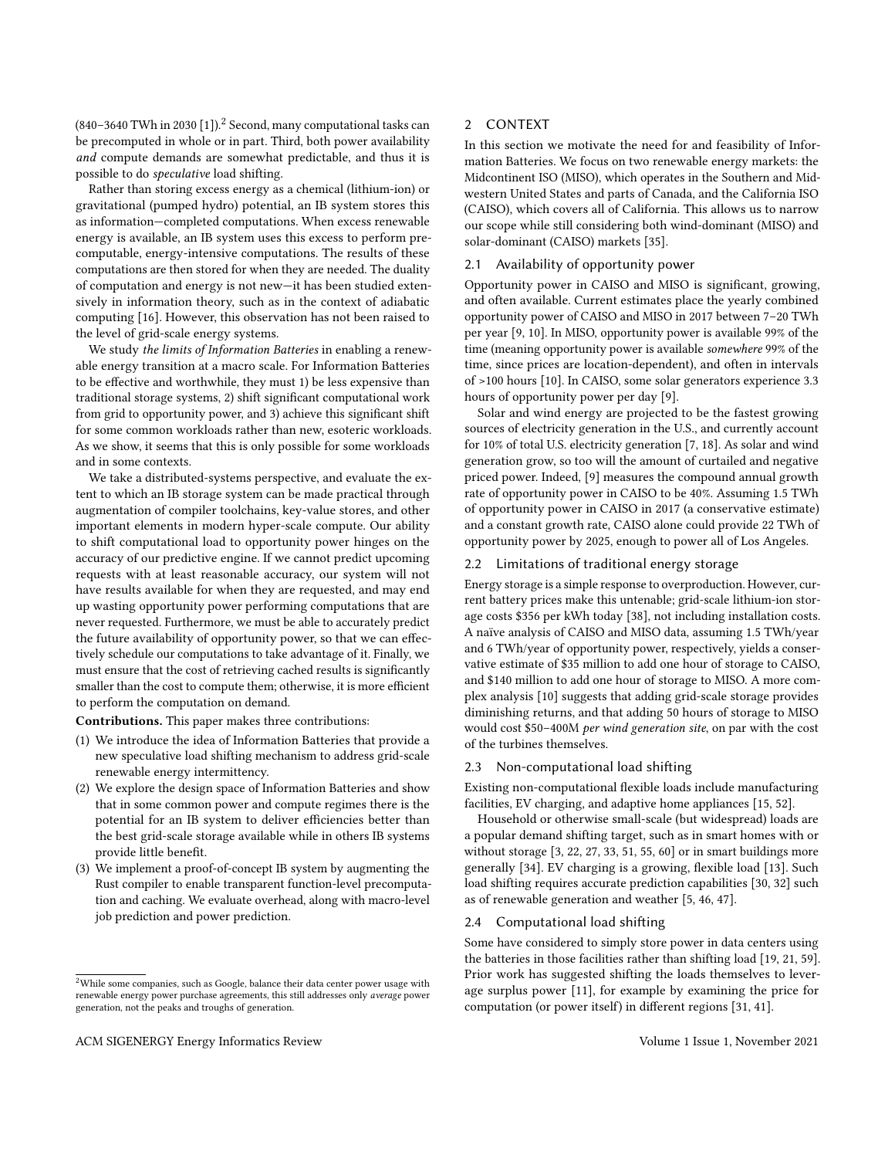(840–3640 TWh in 2030 [\[1\]](#page-7-0)).<sup>[2](#page-1-0)</sup> Second, many computational tasks can be precomputed in whole or in part. Third, both power availability and compute demands are somewhat predictable, and thus it is possible to do speculative load shifting.

Rather than storing excess energy as a chemical (lithium-ion) or gravitational (pumped hydro) potential, an IB system stores this as information—completed computations. When excess renewable energy is available, an IB system uses this excess to perform precomputable, energy-intensive computations. The results of these computations are then stored for when they are needed. The duality of computation and energy is not new—it has been studied extensively in information theory, such as in the context of adiabatic computing [\[16\]](#page-8-16). However, this observation has not been raised to the level of grid-scale energy systems.

We study the limits of Information Batteries in enabling a renewable energy transition at a macro scale. For Information Batteries to be effective and worthwhile, they must 1) be less expensive than traditional storage systems, 2) shift significant computational work from grid to opportunity power, and 3) achieve this significant shift for some common workloads rather than new, esoteric workloads. As we show, it seems that this is only possible for some workloads and in some contexts.

We take a distributed-systems perspective, and evaluate the extent to which an IB storage system can be made practical through augmentation of compiler toolchains, key-value stores, and other important elements in modern hyper-scale compute. Our ability to shift computational load to opportunity power hinges on the accuracy of our predictive engine. If we cannot predict upcoming requests with at least reasonable accuracy, our system will not have results available for when they are requested, and may end up wasting opportunity power performing computations that are never requested. Furthermore, we must be able to accurately predict the future availability of opportunity power, so that we can effectively schedule our computations to take advantage of it. Finally, we must ensure that the cost of retrieving cached results is significantly smaller than the cost to compute them; otherwise, it is more efficient to perform the computation on demand.

Contributions. This paper makes three contributions:

- (1) We introduce the idea of Information Batteries that provide a new speculative load shifting mechanism to address grid-scale renewable energy intermittency.
- (2) We explore the design space of Information Batteries and show that in some common power and compute regimes there is the potential for an IB system to deliver efficiencies better than the best grid-scale storage available while in others IB systems provide little benefit.
- (3) We implement a proof-of-concept IB system by augmenting the Rust compiler to enable transparent function-level precomputation and caching. We evaluate overhead, along with macro-level job prediction and power prediction.

## 2 CONTEXT

In this section we motivate the need for and feasibility of Information Batteries. We focus on two renewable energy markets: the Midcontinent ISO (MISO), which operates in the Southern and Midwestern United States and parts of Canada, and the California ISO (CAISO), which covers all of California. This allows us to narrow our scope while still considering both wind-dominant (MISO) and solar-dominant (CAISO) markets [\[35\]](#page-8-17).

## 2.1 Availability of opportunity power

Opportunity power in CAISO and MISO is significant, growing, and often available. Current estimates place the yearly combined opportunity power of CAISO and MISO in 2017 between 7–20 TWh per year [\[9,](#page-8-2) [10\]](#page-8-3). In MISO, opportunity power is available 99% of the time (meaning opportunity power is available somewhere 99% of the time, since prices are location-dependent), and often in intervals of >100 hours [\[10\]](#page-8-3). In CAISO, some solar generators experience 3.3 hours of opportunity power per day [\[9\]](#page-8-2).

Solar and wind energy are projected to be the fastest growing sources of electricity generation in the U.S., and currently account for 10% of total U.S. electricity generation [\[7,](#page-8-18) [18\]](#page-8-19). As solar and wind generation grow, so too will the amount of curtailed and negative priced power. Indeed, [\[9\]](#page-8-2) measures the compound annual growth rate of opportunity power in CAISO to be 40%. Assuming 1.5 TWh of opportunity power in CAISO in 2017 (a conservative estimate) and a constant growth rate, CAISO alone could provide 22 TWh of opportunity power by 2025, enough to power all of Los Angeles.

#### 2.2 Limitations of traditional energy storage

Energy storage is a simple response to overproduction. However, current battery prices make this untenable; grid-scale lithium-ion storage costs \$356 per kWh today [\[38\]](#page-8-20), not including installation costs. A naïve analysis of CAISO and MISO data, assuming 1.5 TWh/year and 6 TWh/year of opportunity power, respectively, yields a conservative estimate of \$35 million to add one hour of storage to CAISO, and \$140 million to add one hour of storage to MISO. A more complex analysis [\[10\]](#page-8-3) suggests that adding grid-scale storage provides diminishing returns, and that adding 50 hours of storage to MISO would cost \$50–400M per wind generation site, on par with the cost of the turbines themselves.

#### 2.3 Non-computational load shifting

Existing non-computational flexible loads include manufacturing facilities, EV charging, and adaptive home appliances [\[15,](#page-8-21) [52\]](#page-8-11).

Household or otherwise small-scale (but widespread) loads are a popular demand shifting target, such as in smart homes with or without storage [\[3,](#page-8-4) [22,](#page-8-6) [27,](#page-8-7) [33,](#page-8-8) [51,](#page-8-10) [55,](#page-8-12) [60\]](#page-9-0) or in smart buildings more generally [\[34\]](#page-8-9). EV charging is a growing, flexible load [\[13\]](#page-8-5). Such load shifting requires accurate prediction capabilities [\[30,](#page-8-22) [32\]](#page-8-23) such as of renewable generation and weather [\[5,](#page-8-24) [46,](#page-8-25) [47\]](#page-8-26).

#### 2.4 Computational load shifting

Some have considered to simply store power in data centers using the batteries in those facilities rather than shifting load [\[19,](#page-8-27) [21,](#page-8-28) [59\]](#page-9-3). Prior work has suggested shifting the loads themselves to leverage surplus power [\[11\]](#page-8-29), for example by examining the price for computation (or power itself) in different regions [\[31,](#page-8-30) [41\]](#page-8-31).

<span id="page-1-0"></span> $2$ While some companies, such as Google, balance their data center power usage with renewable energy power purchase agreements, this still addresses only average power generation, not the peaks and troughs of generation.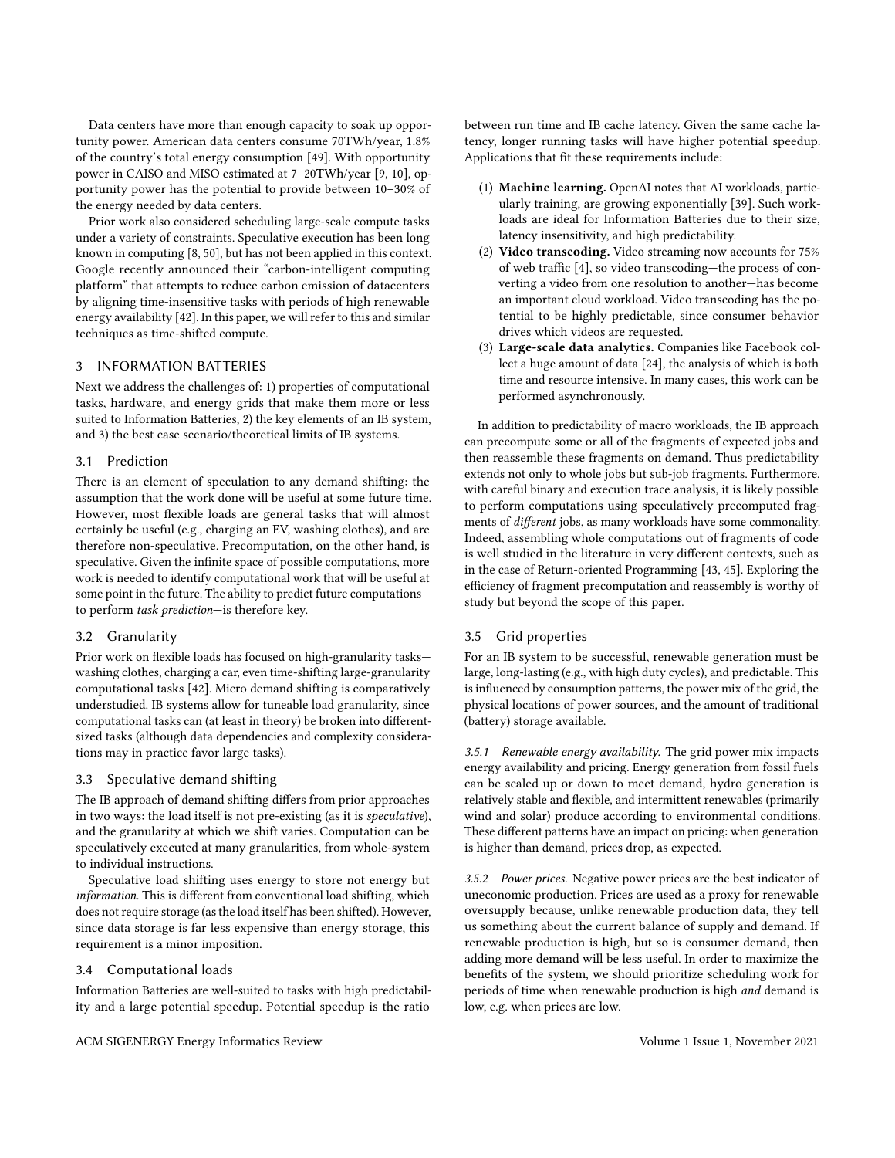Data centers have more than enough capacity to soak up opportunity power. American data centers consume 70TWh/year, 1.8% of the country's total energy consumption [\[49\]](#page-8-32). With opportunity power in CAISO and MISO estimated at 7–20TWh/year [\[9,](#page-8-2) [10\]](#page-8-3), opportunity power has the potential to provide between 10–30% of the energy needed by data centers.

Prior work also considered scheduling large-scale compute tasks under a variety of constraints. Speculative execution has been long known in computing [\[8,](#page-8-33) [50\]](#page-8-34), but has not been applied in this context. Google recently announced their "carbon-intelligent computing platform" that attempts to reduce carbon emission of datacenters by aligning time-insensitive tasks with periods of high renewable energy availability [\[42\]](#page-8-35). In this paper, we will refer to this and similar techniques as time-shifted compute.

## 3 INFORMATION BATTERIES

Next we address the challenges of: 1) properties of computational tasks, hardware, and energy grids that make them more or less suited to Information Batteries, 2) the key elements of an IB system, and 3) the best case scenario/theoretical limits of IB systems.

## 3.1 Prediction

There is an element of speculation to any demand shifting: the assumption that the work done will be useful at some future time. However, most flexible loads are general tasks that will almost certainly be useful (e.g., charging an EV, washing clothes), and are therefore non-speculative. Precomputation, on the other hand, is speculative. Given the infinite space of possible computations, more work is needed to identify computational work that will be useful at some point in the future. The ability to predict future computations to perform task prediction—is therefore key.

## 3.2 Granularity

Prior work on flexible loads has focused on high-granularity tasks washing clothes, charging a car, even time-shifting large-granularity computational tasks [\[42\]](#page-8-35). Micro demand shifting is comparatively understudied. IB systems allow for tuneable load granularity, since computational tasks can (at least in theory) be broken into differentsized tasks (although data dependencies and complexity considerations may in practice favor large tasks).

## 3.3 Speculative demand shifting

The IB approach of demand shifting differs from prior approaches in two ways: the load itself is not pre-existing (as it is speculative), and the granularity at which we shift varies. Computation can be speculatively executed at many granularities, from whole-system to individual instructions.

Speculative load shifting uses energy to store not energy but information. This is different from conventional load shifting, which does not require storage (as the load itself has been shifted). However, since data storage is far less expensive than energy storage, this requirement is a minor imposition.

## 3.4 Computational loads

Information Batteries are well-suited to tasks with high predictability and a large potential speedup. Potential speedup is the ratio

between run time and IB cache latency. Given the same cache latency, longer running tasks will have higher potential speedup. Applications that fit these requirements include:

- (1) Machine learning. OpenAI notes that AI workloads, particularly training, are growing exponentially [\[39\]](#page-8-36). Such workloads are ideal for Information Batteries due to their size, latency insensitivity, and high predictability.
- (2) Video transcoding. Video streaming now accounts for 75% of web traffic [\[4\]](#page-8-37), so video transcoding—the process of converting a video from one resolution to another—has become an important cloud workload. Video transcoding has the potential to be highly predictable, since consumer behavior drives which videos are requested.
- (3) Large-scale data analytics. Companies like Facebook collect a huge amount of data [\[24\]](#page-8-38), the analysis of which is both time and resource intensive. In many cases, this work can be performed asynchronously.

In addition to predictability of macro workloads, the IB approach can precompute some or all of the fragments of expected jobs and then reassemble these fragments on demand. Thus predictability extends not only to whole jobs but sub-job fragments. Furthermore, with careful binary and execution trace analysis, it is likely possible to perform computations using speculatively precomputed fragments of different jobs, as many workloads have some commonality. Indeed, assembling whole computations out of fragments of code is well studied in the literature in very different contexts, such as in the case of Return-oriented Programming [\[43,](#page-8-39) [45\]](#page-8-40). Exploring the efficiency of fragment precomputation and reassembly is worthy of study but beyond the scope of this paper.

## 3.5 Grid properties

For an IB system to be successful, renewable generation must be large, long-lasting (e.g., with high duty cycles), and predictable. This is influenced by consumption patterns, the power mix of the grid, the physical locations of power sources, and the amount of traditional (battery) storage available.

3.5.1 Renewable energy availability. The grid power mix impacts energy availability and pricing. Energy generation from fossil fuels can be scaled up or down to meet demand, hydro generation is relatively stable and flexible, and intermittent renewables (primarily wind and solar) produce according to environmental conditions. These different patterns have an impact on pricing: when generation is higher than demand, prices drop, as expected.

3.5.2 Power prices. Negative power prices are the best indicator of uneconomic production. Prices are used as a proxy for renewable oversupply because, unlike renewable production data, they tell us something about the current balance of supply and demand. If renewable production is high, but so is consumer demand, then adding more demand will be less useful. In order to maximize the benefits of the system, we should prioritize scheduling work for periods of time when renewable production is high and demand is low, e.g. when prices are low.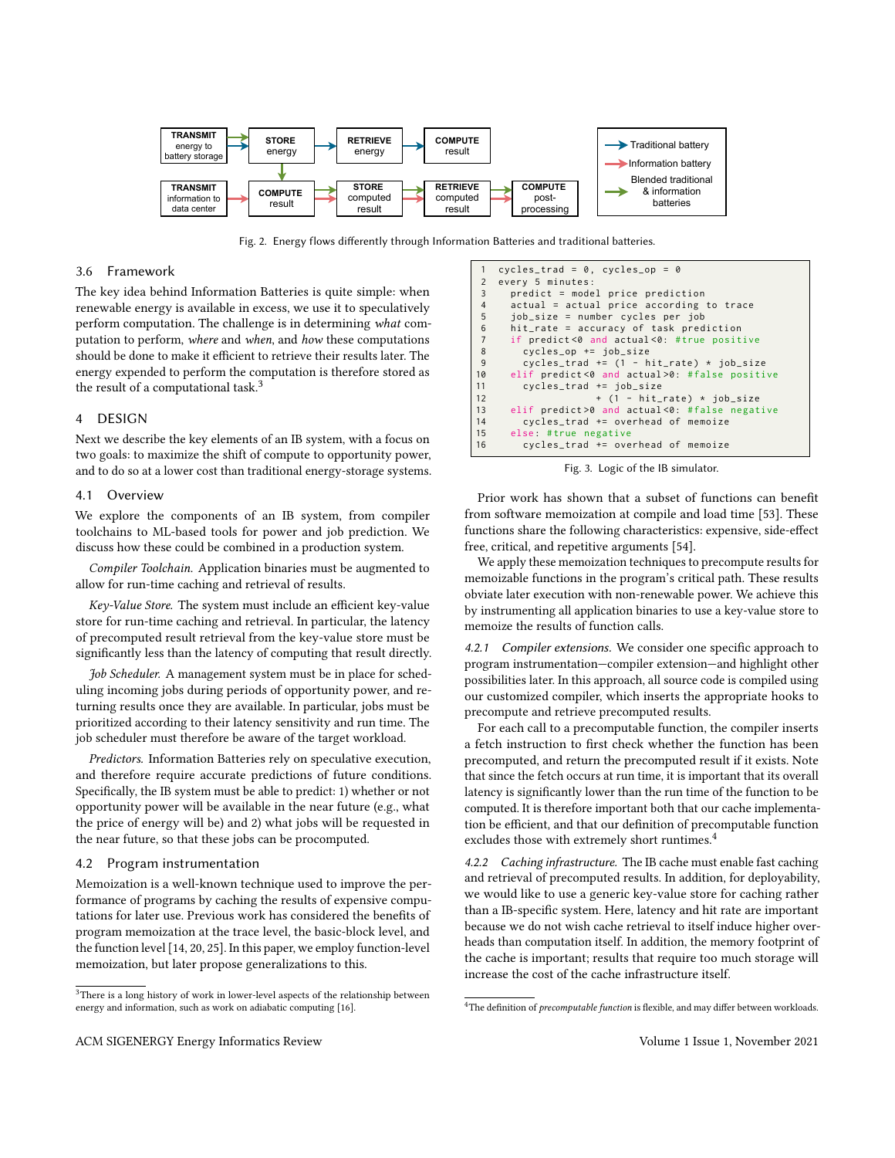<span id="page-3-2"></span>

Fig. 2. Energy flows differently through Information Batteries and traditional batteries.

## 3.6 Framework

The key idea behind Information Batteries is quite simple: when renewable energy is available in excess, we use it to speculatively perform computation. The challenge is in determining what computation to perform, where and when, and how these computations should be done to make it efficient to retrieve their results later. The energy expended to perform the computation is therefore stored as the result of a computational task.<sup>[3](#page-3-0)</sup>

## 4 DESIGN

Next we describe the key elements of an IB system, with a focus on two goals: to maximize the shift of compute to opportunity power, and to do so at a lower cost than traditional energy-storage systems.

#### 4.1 Overview

We explore the components of an IB system, from compiler toolchains to ML-based tools for power and job prediction. We discuss how these could be combined in a production system.

Compiler Toolchain. Application binaries must be augmented to allow for run-time caching and retrieval of results.

Key-Value Store. The system must include an efficient key-value store for run-time caching and retrieval. In particular, the latency of precomputed result retrieval from the key-value store must be significantly less than the latency of computing that result directly.

Job Scheduler. A management system must be in place for scheduling incoming jobs during periods of opportunity power, and returning results once they are available. In particular, jobs must be prioritized according to their latency sensitivity and run time. The job scheduler must therefore be aware of the target workload.

Predictors. Information Batteries rely on speculative execution, and therefore require accurate predictions of future conditions. Specifically, the IB system must be able to predict: 1) whether or not opportunity power will be available in the near future (e.g., what the price of energy will be) and 2) what jobs will be requested in the near future, so that these jobs can be procomputed.

#### 4.2 Program instrumentation

Memoization is a well-known technique used to improve the performance of programs by caching the results of expensive computations for later use. Previous work has considered the benefits of program memoization at the trace level, the basic-block level, and the function level [\[14,](#page-8-41) [20,](#page-8-42) [25\]](#page-8-43). In this paper, we employ function-level memoization, but later propose generalizations to this.

Fig. 3. Logic of the IB simulator.

Prior work has shown that a subset of functions can benefit from software memoization at compile and load time [\[53\]](#page-8-44). These functions share the following characteristics: expensive, side-effect free, critical, and repetitive arguments [\[54\]](#page-8-45).

We apply these memoization techniques to precompute results for memoizable functions in the program's critical path. These results obviate later execution with non-renewable power. We achieve this by instrumenting all application binaries to use a key-value store to memoize the results of function calls.

4.2.1 Compiler extensions. We consider one specific approach to program instrumentation—compiler extension—and highlight other possibilities later. In this approach, all source code is compiled using our customized compiler, which inserts the appropriate hooks to precompute and retrieve precomputed results.

For each call to a precomputable function, the compiler inserts a fetch instruction to first check whether the function has been precomputed, and return the precomputed result if it exists. Note that since the fetch occurs at run time, it is important that its overall latency is significantly lower than the run time of the function to be computed. It is therefore important both that our cache implementation be efficient, and that our definition of precomputable function excludes those with extremely short runtimes.<sup>[4](#page-3-1)</sup>

4.2.2 Caching infrastructure. The IB cache must enable fast caching and retrieval of precomputed results. In addition, for deployability, we would like to use a generic key-value store for caching rather than a IB-specific system. Here, latency and hit rate are important because we do not wish cache retrieval to itself induce higher overheads than computation itself. In addition, the memory footprint of the cache is important; results that require too much storage will increase the cost of the cache infrastructure itself.

<span id="page-3-0"></span> ${}^{3}$  There is a long history of work in lower-level aspects of the relationship between energy and information, such as work on adiabatic computing [\[16\]](#page-8-16).

<span id="page-3-3"></span><sup>1</sup> cycles\_trad =  $0$ , cycles\_op =  $0$ <br>2 every 5 minutes: every 5 minutes: 3 predict = model price prediction<br>4 actual = actual price according 4 actual = actual price according to trace<br>5 job\_size = number cycles per job 5 job\_size = number cycles per job 6 hit\_rate = accuracy of task prediction<br>7 if predict<0 and actual<0: #true posit if predict<0 and actual<0: #true positive 8 cycles\_op += job\_size<br>9 cycles\_trad += (1 - h 9 cycles\_trad +=  $(1 - hit_rate) * job_size$ <br>10 elif predict <0 and actual >0: #false positi 10 elif predict <0 and actual >0: #false positive 11 cycles trad  $+=$  job size 11 cycles\_trad +=  $job\_size$ <br>12  $+ (1 - hit$ 12 + (1 - hit\_rate) \* job\_size<br>13 elif predict>0 and actual<0: #false negat elif predict >0 and actual <0: # false negative 14 cycles\_trad += overhead of memoize<br>15 else: #true negative else: #true negative 16 cycles\_trad += overhead of memoize

<span id="page-3-1"></span> $4$ The definition of *precomputable function* is flexible, and may differ between workloads.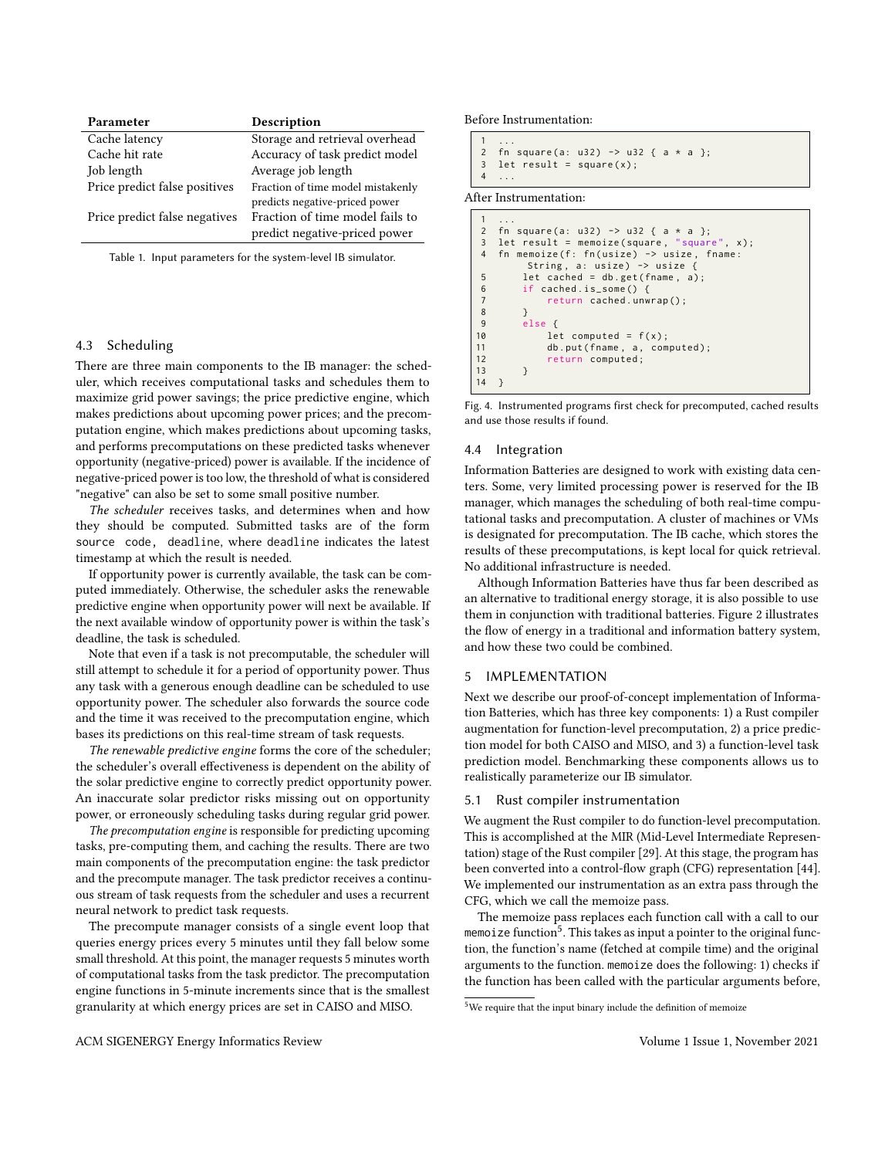<span id="page-4-3"></span>

| Parameter                     | Description                       |
|-------------------------------|-----------------------------------|
| Cache latency                 | Storage and retrieval overhead    |
| Cache hit rate                | Accuracy of task predict model    |
| Job length                    | Average job length                |
| Price predict false positives | Fraction of time model mistakenly |
|                               | predicts negative-priced power    |
| Price predict false negatives | Fraction of time model fails to   |
|                               | predict negative-priced power     |
|                               |                                   |

Table 1. Input parameters for the system-level IB simulator.

## 4.3 Scheduling

There are three main components to the IB manager: the scheduler, which receives computational tasks and schedules them to maximize grid power savings; the price predictive engine, which makes predictions about upcoming power prices; and the precomputation engine, which makes predictions about upcoming tasks, and performs precomputations on these predicted tasks whenever opportunity (negative-priced) power is available. If the incidence of negative-priced power is too low, the threshold of what is considered "negative" can also be set to some small positive number.

The scheduler receives tasks, and determines when and how they should be computed. Submitted tasks are of the form source code, deadline, where deadline indicates the latest timestamp at which the result is needed.

If opportunity power is currently available, the task can be computed immediately. Otherwise, the scheduler asks the renewable predictive engine when opportunity power will next be available. If the next available window of opportunity power is within the task's deadline, the task is scheduled.

Note that even if a task is not precomputable, the scheduler will still attempt to schedule it for a period of opportunity power. Thus any task with a generous enough deadline can be scheduled to use opportunity power. The scheduler also forwards the source code and the time it was received to the precomputation engine, which bases its predictions on this real-time stream of task requests.

The renewable predictive engine forms the core of the scheduler; the scheduler's overall effectiveness is dependent on the ability of the solar predictive engine to correctly predict opportunity power. An inaccurate solar predictor risks missing out on opportunity power, or erroneously scheduling tasks during regular grid power.

The precomputation engine is responsible for predicting upcoming tasks, pre-computing them, and caching the results. There are two main components of the precomputation engine: the task predictor and the precompute manager. The task predictor receives a continuous stream of task requests from the scheduler and uses a recurrent neural network to predict task requests.

The precompute manager consists of a single event loop that queries energy prices every 5 minutes until they fall below some small threshold. At this point, the manager requests 5 minutes worth of computational tasks from the task predictor. The precomputation engine functions in 5-minute increments since that is the smallest granularity at which energy prices are set in CAISO and MISO.

<span id="page-4-1"></span>Before Instrumentation:

```
1 ...
2 fn square (a: u32) \rightarrow u32 { a * a };
3 let result = square(x);
4 ...
```
After Instrumentation:

```
1 ...
2 fn square (a: u32) \rightarrow u32 { a * a };
3 let result = memoize (square, "square", x);
4 fn memoize (f: fn (usize) -> usize, fname:
           String, a: usize) -> usize {
5 let cached = db.get (fname, a);
6 if cached . is_some () {
               return cached.unwrap();
\begin{array}{ccc}\n8 & & & \end{array}\begin{array}{cc} 9 & \text{else} \\ 10 & \text{le} \end{array}10 let computed = f(x);<br>11 db.put(fname, a, com
11 db . put (fname, a, computed);<br>12 return computed:
               return computed;
13 }
14 }
```
Fig. 4. Instrumented programs first check for precomputed, cached results and use those results if found.

## 4.4 Integration

Information Batteries are designed to work with existing data centers. Some, very limited processing power is reserved for the IB manager, which manages the scheduling of both real-time computational tasks and precomputation. A cluster of machines or VMs is designated for precomputation. The IB cache, which stores the results of these precomputations, is kept local for quick retrieval. No additional infrastructure is needed.

Although Information Batteries have thus far been described as an alternative to traditional energy storage, it is also possible to use them in conjunction with traditional batteries. Figure [2](#page-3-2) illustrates the flow of energy in a traditional and information battery system, and how these two could be combined.

## <span id="page-4-2"></span>5 IMPLEMENTATION

Next we describe our proof-of-concept implementation of Information Batteries, which has three key components: 1) a Rust compiler augmentation for function-level precomputation, 2) a price prediction model for both CAISO and MISO, and 3) a function-level task prediction model. Benchmarking these components allows us to realistically parameterize our IB simulator.

#### 5.1 Rust compiler instrumentation

We augment the Rust compiler to do function-level precomputation. This is accomplished at the MIR (Mid-Level Intermediate Representation) stage of the Rust compiler [\[29\]](#page-8-46). At this stage, the program has been converted into a control-flow graph (CFG) representation [\[44\]](#page-8-47). We implemented our instrumentation as an extra pass through the CFG, which we call the memoize pass.

The memoize pass replaces each function call with a call to our memoize function<sup>[5](#page-4-0)</sup>. This takes as input a pointer to the original function, the function's name (fetched at compile time) and the original arguments to the function. memoize does the following: 1) checks if the function has been called with the particular arguments before,

<span id="page-4-0"></span> $5$ We require that the input binary include the definition of memoize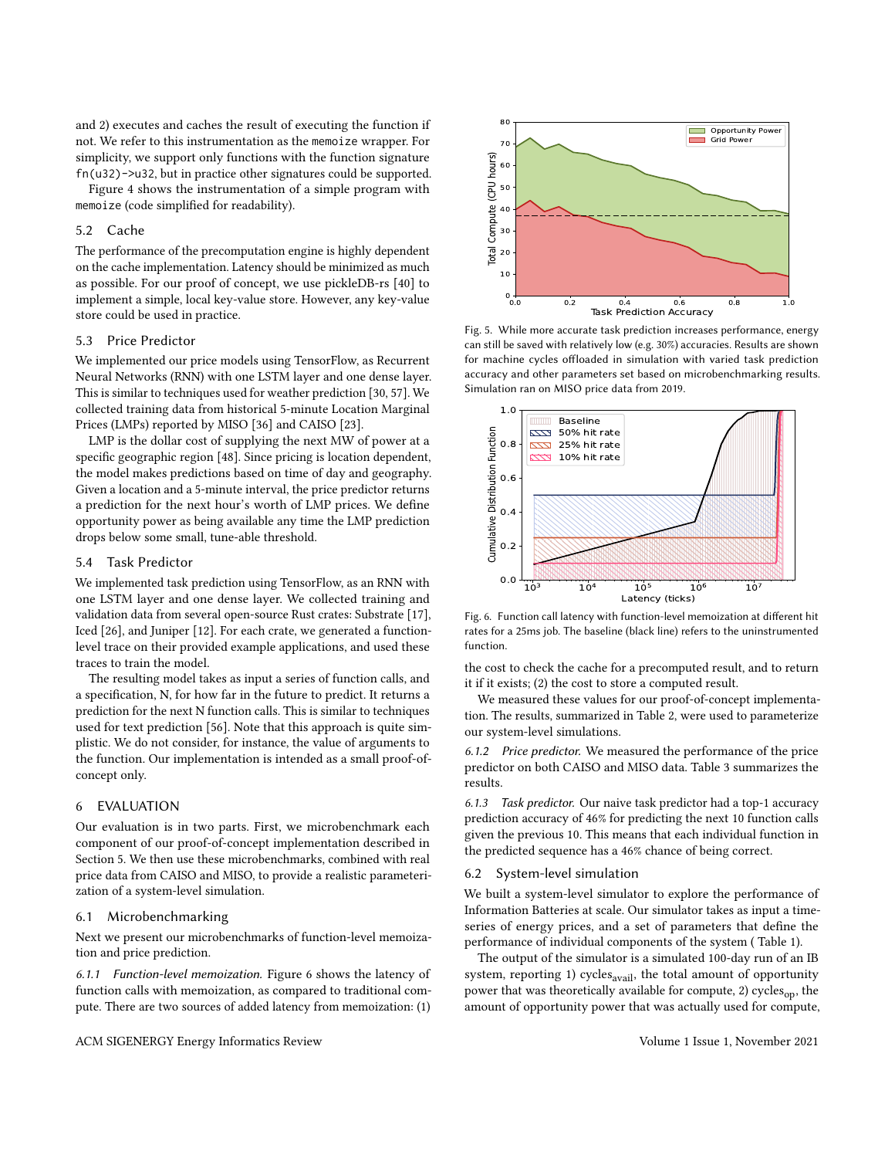and 2) executes and caches the result of executing the function if not. We refer to this instrumentation as the memoize wrapper. For simplicity, we support only functions with the function signature fn(u32)->u32, but in practice other signatures could be supported.

Figure [4](#page-4-1) shows the instrumentation of a simple program with memoize (code simplified for readability).

## 5.2 Cache

The performance of the precomputation engine is highly dependent on the cache implementation. Latency should be minimized as much as possible. For our proof of concept, we use pickleDB-rs [\[40\]](#page-8-48) to implement a simple, local key-value store. However, any key-value store could be used in practice.

## 5.3 Price Predictor

We implemented our price models using TensorFlow, as Recurrent Neural Networks (RNN) with one LSTM layer and one dense layer. This is similar to techniques used for weather prediction [\[30,](#page-8-22) [57\]](#page-9-4). We collected training data from historical 5-minute Location Marginal Prices (LMPs) reported by MISO [\[36\]](#page-8-13) and CAISO [\[23\]](#page-8-49).

LMP is the dollar cost of supplying the next MW of power at a specific geographic region [\[48\]](#page-8-50). Since pricing is location dependent, the model makes predictions based on time of day and geography. Given a location and a 5-minute interval, the price predictor returns a prediction for the next hour's worth of LMP prices. We define opportunity power as being available any time the LMP prediction drops below some small, tune-able threshold.

#### 5.4 Task Predictor

We implemented task prediction using TensorFlow, as an RNN with one LSTM layer and one dense layer. We collected training and validation data from several open-source Rust crates: Substrate [\[17\]](#page-8-51), Iced [\[26\]](#page-8-52), and Juniper [\[12\]](#page-8-53). For each crate, we generated a functionlevel trace on their provided example applications, and used these traces to train the model.

The resulting model takes as input a series of function calls, and a specification, N, for how far in the future to predict. It returns a prediction for the next N function calls. This is similar to techniques used for text prediction [\[56\]](#page-8-54). Note that this approach is quite simplistic. We do not consider, for instance, the value of arguments to the function. Our implementation is intended as a small proof-ofconcept only.

#### 6 EVALUATION

Our evaluation is in two parts. First, we microbenchmark each component of our proof-of-concept implementation described in Section [5.](#page-4-2) We then use these microbenchmarks, combined with real price data from CAISO and MISO, to provide a realistic parameterization of a system-level simulation.

#### 6.1 Microbenchmarking

Next we present our microbenchmarks of function-level memoization and price prediction.

6.1.1 Function-level memoization. Figure [6](#page-5-0) shows the latency of function calls with memoization, as compared to traditional compute. There are two sources of added latency from memoization: (1)

<span id="page-5-1"></span>

Fig. 5. While more accurate task prediction increases performance, energy can still be saved with relatively low (e.g. 30%) accuracies. Results are shown for machine cycles offloaded in simulation with varied task prediction accuracy and other parameters set based on microbenchmarking results. Simulation ran on MISO price data from 2019.

<span id="page-5-0"></span>

Fig. 6. Function call latency with function-level memoization at different hit rates for a 25ms job. The baseline (black line) refers to the uninstrumented function.

the cost to check the cache for a precomputed result, and to return it if it exists; (2) the cost to store a computed result.

We measured these values for our proof-of-concept implementation. The results, summarized in Table [2,](#page-6-0) were used to parameterize our system-level simulations.

6.1.2 Price predictor. We measured the performance of the price predictor on both CAISO and MISO data. Table [3](#page-6-1) summarizes the results.

6.1.3 Task predictor. Our naive task predictor had a top-1 accuracy prediction accuracy of 46% for predicting the next 10 function calls given the previous 10. This means that each individual function in the predicted sequence has a 46% chance of being correct.

#### 6.2 System-level simulation

We built a system-level simulator to explore the performance of Information Batteries at scale. Our simulator takes as input a timeseries of energy prices, and a set of parameters that define the performance of individual components of the system ( Table [1\)](#page-4-3).

The output of the simulator is a simulated 100-day run of an IB system, reporting 1) cycles $_{\text{avail}}$ , the total amount of opportunity power that was theoretically available for compute, 2) cycles $_{\text{on}}$ , the amount of opportunity power that was actually used for compute,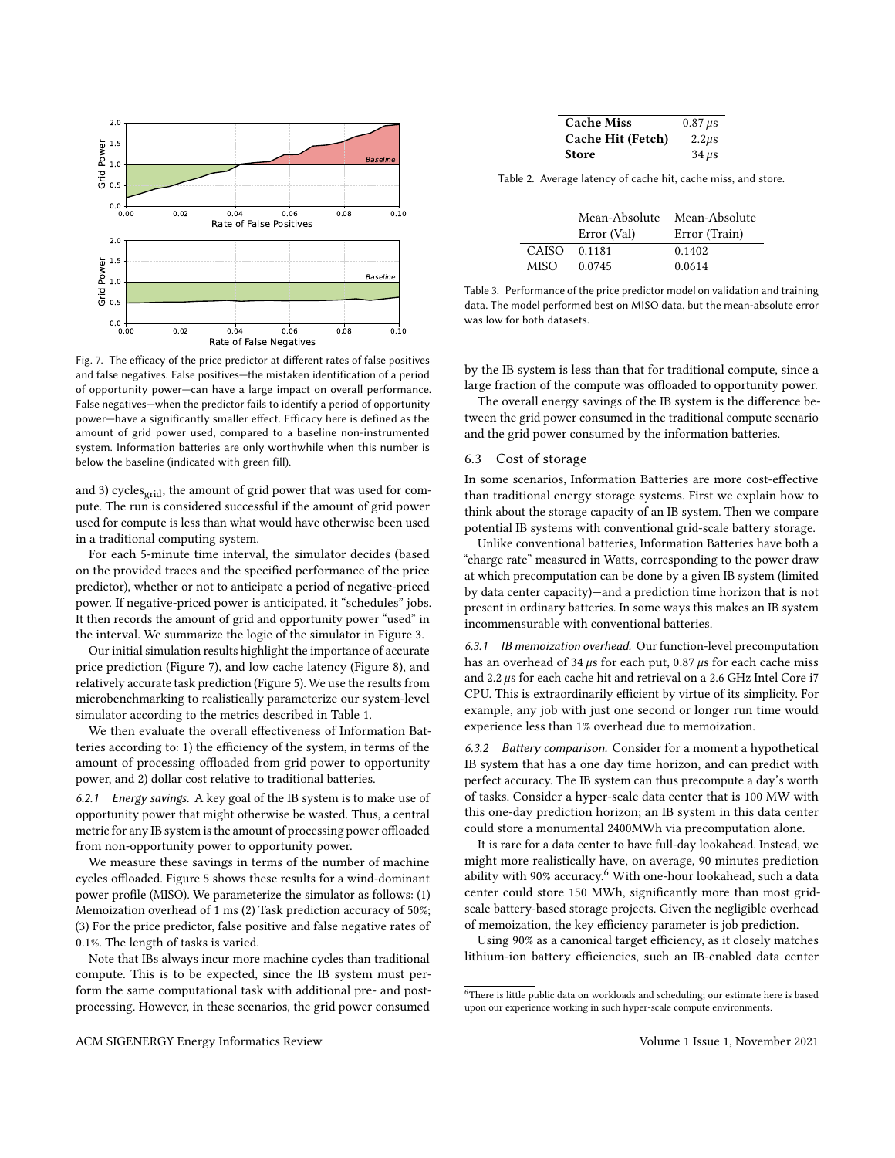<span id="page-6-2"></span>

Fig. 7. The efficacy of the price predictor at different rates of false positives and false negatives. False positives—the mistaken identification of a period of opportunity power—can have a large impact on overall performance. False negatives—when the predictor fails to identify a period of opportunity power—have a significantly smaller effect. Efficacy here is defined as the amount of grid power used, compared to a baseline non-instrumented system. Information batteries are only worthwhile when this number is below the baseline (indicated with green fill).

and 3) cycles<sub>grid</sub>, the amount of grid power that was used for compute. The run is considered successful if the amount of grid power used for compute is less than what would have otherwise been used in a traditional computing system.

For each 5-minute time interval, the simulator decides (based on the provided traces and the specified performance of the price predictor), whether or not to anticipate a period of negative-priced power. If negative-priced power is anticipated, it "schedules" jobs. It then records the amount of grid and opportunity power "used" in the interval. We summarize the logic of the simulator in Figure [3.](#page-3-3)

Our initial simulation results highlight the importance of accurate price prediction (Figure [7\)](#page-6-2), and low cache latency (Figure [8\)](#page-7-1), and relatively accurate task prediction (Figure [5\)](#page-5-1). We use the results from microbenchmarking to realistically parameterize our system-level simulator according to the metrics described in Table [1.](#page-4-3)

We then evaluate the overall effectiveness of Information Batteries according to: 1) the efficiency of the system, in terms of the amount of processing offloaded from grid power to opportunity power, and 2) dollar cost relative to traditional batteries.

6.2.1 Energy savings. A key goal of the IB system is to make use of opportunity power that might otherwise be wasted. Thus, a central metric for any IB system is the amount of processing power offloaded from non-opportunity power to opportunity power.

We measure these savings in terms of the number of machine cycles offloaded. Figure [5](#page-5-1) shows these results for a wind-dominant power profile (MISO). We parameterize the simulator as follows: (1) Memoization overhead of 1 ms (2) Task prediction accuracy of 50%; (3) For the price predictor, false positive and false negative rates of 0.1%. The length of tasks is varied.

Note that IBs always incur more machine cycles than traditional compute. This is to be expected, since the IB system must perform the same computational task with additional pre- and postprocessing. However, in these scenarios, the grid power consumed

| <b>Cache Miss</b> | $0.87 \,\mu s$ |
|-------------------|----------------|
| Cache Hit (Fetch) | $2.2 \mu s$    |
| <b>Store</b>      | $34 \mu s$     |

<span id="page-6-1"></span><span id="page-6-0"></span>Table 2. Average latency of cache hit, cache miss, and store.

|       | Mean-Absolute | Mean-Absolute |
|-------|---------------|---------------|
|       | Error (Val)   | Error (Train) |
| CAISO | 0.1181        | 0.1402        |
| MISO. | 0.0745        | 0.0614        |

Table 3. Performance of the price predictor model on validation and training data. The model performed best on MISO data, but the mean-absolute error was low for both datasets.

by the IB system is less than that for traditional compute, since a large fraction of the compute was offloaded to opportunity power.

The overall energy savings of the IB system is the difference between the grid power consumed in the traditional compute scenario and the grid power consumed by the information batteries.

## 6.3 Cost of storage

In some scenarios, Information Batteries are more cost-effective than traditional energy storage systems. First we explain how to think about the storage capacity of an IB system. Then we compare potential IB systems with conventional grid-scale battery storage.

Unlike conventional batteries, Information Batteries have both a "charge rate" measured in Watts, corresponding to the power draw at which precomputation can be done by a given IB system (limited by data center capacity)—and a prediction time horizon that is not present in ordinary batteries. In some ways this makes an IB system incommensurable with conventional batteries.

6.3.1 IB memoization overhead. Our function-level precomputation has an overhead of 34  $\mu$ s for each put, 0.87  $\mu$ s for each cache miss and 2.2  $\mu$ s for each cache hit and retrieval on a 2.6 GHz Intel Core i7 CPU. This is extraordinarily efficient by virtue of its simplicity. For example, any job with just one second or longer run time would experience less than 1% overhead due to memoization.

6.3.2 Battery comparison. Consider for a moment a hypothetical IB system that has a one day time horizon, and can predict with perfect accuracy. The IB system can thus precompute a day's worth of tasks. Consider a hyper-scale data center that is 100 MW with this one-day prediction horizon; an IB system in this data center could store a monumental 2400MWh via precomputation alone.

It is rare for a data center to have full-day lookahead. Instead, we might more realistically have, on average, 90 minutes prediction ability with 90% accuracy.<sup>[6](#page-6-3)</sup> With one-hour lookahead, such a data center could store 150 MWh, significantly more than most gridscale battery-based storage projects. Given the negligible overhead of memoization, the key efficiency parameter is job prediction.

Using 90% as a canonical target efficiency, as it closely matches lithium-ion battery efficiencies, such an IB-enabled data center

<span id="page-6-3"></span> $^6$  There is little public data on workloads and scheduling; our estimate here is based upon our experience working in such hyper-scale compute environments.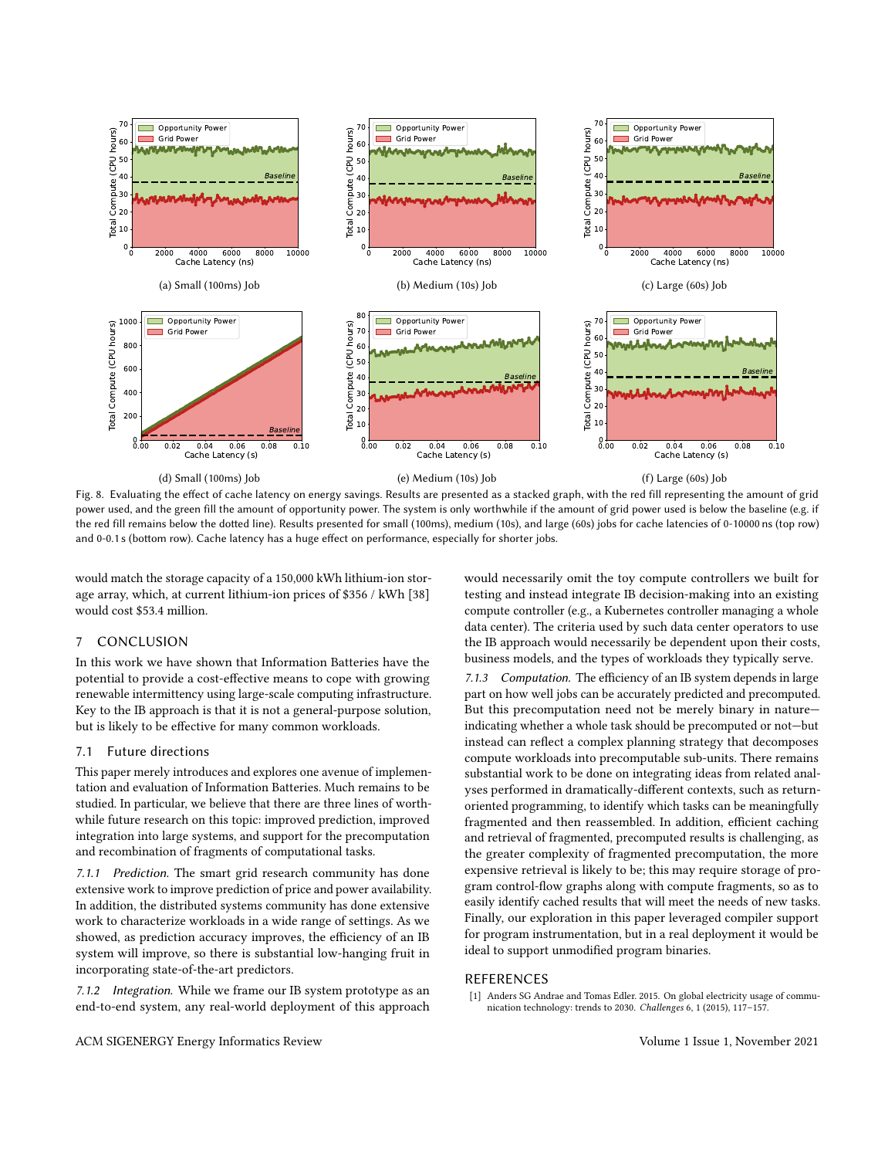<span id="page-7-1"></span>

Fig. 8. Evaluating the effect of cache latency on energy savings. Results are presented as a stacked graph, with the red fill representing the amount of grid power used, and the green fill the amount of opportunity power. The system is only worthwhile if the amount of grid power used is below the baseline (e.g. if the red fill remains below the dotted line). Results presented for small (100ms), medium (10s), and large (60s) jobs for cache latencies of 0-10000 ns (top row) and 0-0.1 s (bottom row). Cache latency has a huge effect on performance, especially for shorter jobs.

would match the storage capacity of a 150,000 kWh lithium-ion storage array, which, at current lithium-ion prices of \$356 / kWh [\[38\]](#page-8-20) would cost \$53.4 million.

## 7 CONCLUSION

In this work we have shown that Information Batteries have the potential to provide a cost-effective means to cope with growing renewable intermittency using large-scale computing infrastructure. Key to the IB approach is that it is not a general-purpose solution, but is likely to be effective for many common workloads.

#### 7.1 Future directions

This paper merely introduces and explores one avenue of implementation and evaluation of Information Batteries. Much remains to be studied. In particular, we believe that there are three lines of worthwhile future research on this topic: improved prediction, improved integration into large systems, and support for the precomputation and recombination of fragments of computational tasks.

7.1.1 Prediction. The smart grid research community has done extensive work to improve prediction of price and power availability. In addition, the distributed systems community has done extensive work to characterize workloads in a wide range of settings. As we showed, as prediction accuracy improves, the efficiency of an IB system will improve, so there is substantial low-hanging fruit in incorporating state-of-the-art predictors.

7.1.2 Integration. While we frame our IB system prototype as an end-to-end system, any real-world deployment of this approach

would necessarily omit the toy compute controllers we built for testing and instead integrate IB decision-making into an existing compute controller (e.g., a Kubernetes controller managing a whole data center). The criteria used by such data center operators to use the IB approach would necessarily be dependent upon their costs, business models, and the types of workloads they typically serve.

7.1.3 Computation. The efficiency of an IB system depends in large part on how well jobs can be accurately predicted and precomputed. But this precomputation need not be merely binary in nature indicating whether a whole task should be precomputed or not—but instead can reflect a complex planning strategy that decomposes compute workloads into precomputable sub-units. There remains substantial work to be done on integrating ideas from related analyses performed in dramatically-different contexts, such as returnoriented programming, to identify which tasks can be meaningfully fragmented and then reassembled. In addition, efficient caching and retrieval of fragmented, precomputed results is challenging, as the greater complexity of fragmented precomputation, the more expensive retrieval is likely to be; this may require storage of program control-flow graphs along with compute fragments, so as to easily identify cached results that will meet the needs of new tasks. Finally, our exploration in this paper leveraged compiler support for program instrumentation, but in a real deployment it would be ideal to support unmodified program binaries.

#### REFERENCES

<span id="page-7-0"></span>[1] Anders SG Andrae and Tomas Edler. 2015. On global electricity usage of communication technology: trends to 2030. Challenges 6, 1 (2015), 117–157.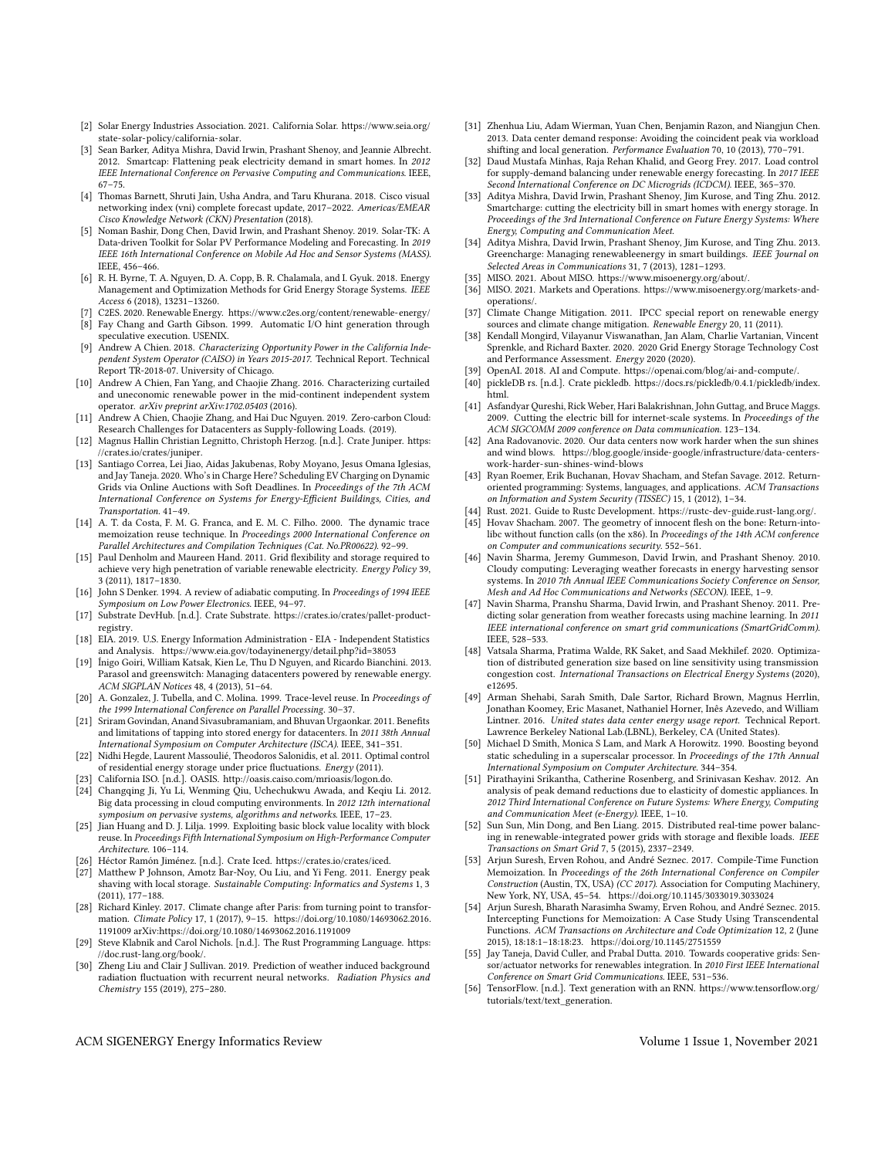- <span id="page-8-14"></span>[2] Solar Energy Industries Association. 2021. California Solar. [https://www.seia.org/](https://www.seia.org/state-solar-policy/california-solar) [state-solar-policy/california-solar.](https://www.seia.org/state-solar-policy/california-solar)
- <span id="page-8-4"></span>[3] Sean Barker, Aditya Mishra, David Irwin, Prashant Shenoy, and Jeannie Albrecht. 2012. Smartcap: Flattening peak electricity demand in smart homes. In 2012 IEEE International Conference on Pervasive Computing and Communications. IEEE, 67–75.
- <span id="page-8-37"></span>[4] Thomas Barnett, Shruti Jain, Usha Andra, and Taru Khurana. 2018. Cisco visual networking index (vni) complete forecast update, 2017–2022. Americas/EMEAR Cisco Knowledge Network (CKN) Presentation (2018).
- <span id="page-8-24"></span>[5] Noman Bashir, Dong Chen, David Irwin, and Prashant Shenoy. 2019. Solar-TK: A Data-driven Toolkit for Solar PV Performance Modeling and Forecasting. In 2019 IEEE 16th International Conference on Mobile Ad Hoc and Sensor Systems (MASS). IEEE, 456–466.
- <span id="page-8-15"></span>[6] R. H. Byrne, T. A. Nguyen, D. A. Copp, B. R. Chalamala, and I. Gyuk. 2018. Energy Management and Optimization Methods for Grid Energy Storage Systems. IEEE Access 6 (2018), 13231–13260.
- <span id="page-8-18"></span>[7] C2ES. 2020. Renewable Energy.<https://www.c2es.org/content/renewable-energy/>
- <span id="page-8-33"></span>[8] Fay Chang and Garth Gibson. 1999. Automatic I/O hint generation through speculative execution. USENIX.
- <span id="page-8-2"></span>[9] Andrew A Chien. 2018. Characterizing Opportunity Power in the California Independent System Operator (CAISO) in Years 2015-2017. Technical Report. Technical Report TR-2018-07. University of Chicago.
- <span id="page-8-3"></span>[10] Andrew A Chien, Fan Yang, and Chaojie Zhang. 2016. Characterizing curtailed and uneconomic renewable power in the mid-continent independent system operator.  $arXiv$  preprint  $arXiv:1702.05403$  (2016).
- <span id="page-8-29"></span>[11] Andrew A Chien, Chaojie Zhang, and Hai Duc Nguyen. 2019. Zero-carbon Cloud: Research Challenges for Datacenters as Supply-following Loads. (2019).
- <span id="page-8-53"></span>[12] Magnus Hallin Christian Legnitto, Christoph Herzog. [n.d.]. Crate Juniper. [https:](https://crates.io/crates/juniper) [//crates.io/crates/juniper.](https://crates.io/crates/juniper)
- <span id="page-8-5"></span>[13] Santiago Correa, Lei Jiao, Aidas Jakubenas, Roby Moyano, Jesus Omana Iglesias, and Jay Taneja. 2020. Who's in Charge Here? Scheduling EV Charging on Dynamic Grids via Online Auctions with Soft Deadlines. In Proceedings of the 7th ACM International Conference on Systems for Energy-Efficient Buildings, Cities, and Transportation. 41–49.
- <span id="page-8-41"></span>[14] A. T. da Costa, F. M. G. Franca, and E. M. C. Filho. 2000. The dynamic trace memoization reuse technique. In Proceedings 2000 International Conference on Parallel Architectures and Compilation Techniques (Cat. No.PR00622). 92–99.
- <span id="page-8-21"></span>[15] Paul Denholm and Maureen Hand. 2011. Grid flexibility and storage required to achieve very high penetration of variable renewable electricity. Energy Policy 39, 3 (2011), 1817–1830.
- <span id="page-8-16"></span>[16] John S Denker. 1994. A review of adiabatic computing. In Proceedings of 1994 IEEE Symposium on Low Power Electronics. IEEE, 94–97.
- <span id="page-8-51"></span>[17] Substrate DevHub. [n.d.]. Crate Substrate. [https://crates.io/crates/pallet-product](https://crates.io/crates/pallet-product-registry)[registry.](https://crates.io/crates/pallet-product-registry)
- <span id="page-8-19"></span>[18] EIA. 2019. U.S. Energy Information Administration - EIA - Independent Statistics and Analysis.<https://www.eia.gov/todayinenergy/detail.php?id=38053>
- <span id="page-8-27"></span>[19] Ínigo Goiri, William Katsak, Kien Le, Thu D Nguyen, and Ricardo Bianchini. 2013. Parasol and greenswitch: Managing datacenters powered by renewable energy. ACM SIGPLAN Notices 48, 4 (2013), 51–64.
- <span id="page-8-42"></span>[20] A. Gonzalez, J. Tubella, and C. Molina. 1999. Trace-level reuse. In Proceedings of the 1999 International Conference on Parallel Processing. 30–37.
- <span id="page-8-28"></span>[21] Sriram Govindan, Anand Sivasubramaniam, and Bhuvan Urgaonkar. 2011. Benefits and limitations of tapping into stored energy for datacenters. In 2011 38th Annual International Symposium on Computer Architecture (ISCA). IEEE, 341–351.
- <span id="page-8-6"></span>[22] Nidhi Hegde, Laurent Massoulié, Theodoros Salonidis, et al. 2011. Optimal control of residential energy storage under price fluctuations. Energy (2011).
- <span id="page-8-49"></span>[23] California ISO. [n.d.]. OASIS. [http://oasis.caiso.com/mrioasis/logon.do.](http://oasis.caiso.com/mrioasis/logon.do)
- <span id="page-8-38"></span>[24] Changqing Ji, Yu Li, Wenming Qiu, Uchechukwu Awada, and Keqiu Li. 2012. Big data processing in cloud computing environments. In 2012 12th international symposium on pervasive systems, algorithms and networks. IEEE, 17–23.
- <span id="page-8-43"></span>[25] Jian Huang and D. J. Lilja. 1999. Exploiting basic block value locality with block reuse. In Proceedings Fifth International Symposium on High-Performance Computer Architecture. 106–114.
- <span id="page-8-52"></span>[26] Héctor Ramón Jiménez. [n.d.]. Crate Iced. [https://crates.io/crates/iced.](https://crates.io/crates/iced)
- <span id="page-8-7"></span>[27] Matthew P Johnson, Amotz Bar-Noy, Ou Liu, and Yi Feng. 2011. Energy peak shaving with local storage. Sustainable Computing: Informatics and Systems 1, 3 (2011), 177–188.
- <span id="page-8-0"></span>[28] Richard Kinley. 2017. Climate change after Paris: from turning point to transformation. Climate Policy 17, 1 (2017), 9–15. [https://doi.org/10.1080/14693062.2016.](https://doi.org/10.1080/14693062.2016.1191009) [1191009](https://doi.org/10.1080/14693062.2016.1191009) arXiv[:https://doi.org/10.1080/14693062.2016.1191009](https://arxiv.org/abs/https://doi.org/10.1080/14693062.2016.1191009)
- <span id="page-8-46"></span>[29] Steve Klabnik and Carol Nichols. [n.d.]. The Rust Programming Language. [https:](https://doc.rust-lang.org/book/) [//doc.rust-lang.org/book/.](https://doc.rust-lang.org/book/)
- <span id="page-8-22"></span>[30] Zheng Liu and Clair J Sullivan. 2019. Prediction of weather induced background radiation fluctuation with recurrent neural networks. Radiation Physics and Chemistry 155 (2019), 275–280.
- <span id="page-8-30"></span>[31] Zhenhua Liu, Adam Wierman, Yuan Chen, Benjamin Razon, and Niangjun Chen. 2013. Data center demand response: Avoiding the coincident peak via workload shifting and local generation. Performance Evaluation 70, 10 (2013), 770–791.
- <span id="page-8-23"></span>[32] Daud Mustafa Minhas, Raja Rehan Khalid, and Georg Frey. 2017. Load control for supply-demand balancing under renewable energy forecasting. In 2017 IEEE Second International Conference on DC Microgrids (ICDCM). IEEE, 365–370.
- <span id="page-8-8"></span>[33] Aditya Mishra, David Irwin, Prashant Shenoy, Jim Kurose, and Ting Zhu. 2012. Smartcharge: cutting the electricity bill in smart homes with energy storage. In Proceedings of the 3rd International Conference on Future Energy Systems: Where Energy, Computing and Communication Meet.
- <span id="page-8-9"></span>[34] Aditya Mishra, David Irwin, Prashant Shenoy, Jim Kurose, and Ting Zhu. 2013. Greencharge: Managing renewableenergy in smart buildings. IEEE Journal on Selected Areas in Communications 31, 7 (2013), 1281–1293.
- <span id="page-8-17"></span>[35] MISO. 2021. About MISO. [https://www.misoenergy.org/about/.](https://www.misoenergy.org/about/)
- <span id="page-8-13"></span>[36] MISO. 2021. Markets and Operations. [https://www.misoenergy.org/markets-and](https://www.misoenergy.org/markets-and-operations/)[operations/.](https://www.misoenergy.org/markets-and-operations/)
- <span id="page-8-1"></span>[37] Climate Change Mitigation. 2011. IPCC special report on renewable energy sources and climate change mitigation. Renewable Energy 20, 11 (2011).
- <span id="page-8-20"></span>[38] Kendall Mongird, Vilayanur Viswanathan, Jan Alam, Charlie Vartanian, Vincent Sprenkle, and Richard Baxter. 2020. 2020 Grid Energy Storage Technology Cost and Performance Assessment. Energy 2020 (2020).
- <span id="page-8-36"></span>[39] OpenAI. 2018. AI and Compute. [https://openai.com/blog/ai-and-compute/.](https://openai.com/blog/ai-and-compute/)
- <span id="page-8-48"></span>[40] pickleDB rs. [n.d.]. Crate pickledb. [https://docs.rs/pickledb/0.4.1/pickledb/index.](https://docs.rs/pickledb/0.4.1/pickledb/index.html) [html.](https://docs.rs/pickledb/0.4.1/pickledb/index.html)
- <span id="page-8-31"></span>[41] Asfandyar Qureshi, Rick Weber, Hari Balakrishnan, John Guttag, and Bruce Maggs. 2009. Cutting the electric bill for internet-scale systems. In Proceedings of the ACM SIGCOMM 2009 conference on Data communication. 123–134.
- <span id="page-8-35"></span>[42] Ana Radovanovic. 2020. Our data centers now work harder when the sun shines and wind blows. [https://blog.google/inside-google/infrastructure/data-centers](https://blog.google/inside-google/infrastructure/data-centers-work-harder-sun-shines-wind-blows)[work-harder-sun-shines-wind-blows](https://blog.google/inside-google/infrastructure/data-centers-work-harder-sun-shines-wind-blows)
- <span id="page-8-39"></span>[43] Ryan Roemer, Erik Buchanan, Hovav Shacham, and Stefan Savage. 2012. Returnoriented programming: Systems, languages, and applications. ACM Transactions on Information and System Security (TISSEC) 15, 1 (2012), 1–34.
- <span id="page-8-47"></span>[44] Rust. 2021. Guide to Rustc Development. [https://rustc-dev-guide.rust-lang.org/.](https://rustc-dev-guide.rust-lang.org/)
- <span id="page-8-40"></span>[45] Hovav Shacham. 2007. The geometry of innocent flesh on the bone: Return-intolibc without function calls (on the x86). In Proceedings of the 14th ACM conference on Computer and communications security. 552–561.
- <span id="page-8-25"></span>[46] Navin Sharma, Jeremy Gummeson, David Irwin, and Prashant Shenov. 2010. Cloudy computing: Leveraging weather forecasts in energy harvesting sensor systems. In 2010 7th Annual IEEE Communications Society Conference on Sensor, Mesh and Ad Hoc Communications and Networks (SECON). IEEE, 1–9.
- <span id="page-8-26"></span>[47] Navin Sharma, Pranshu Sharma, David Irwin, and Prashant Shenoy. 2011. Predicting solar generation from weather forecasts using machine learning. In 2011 IEEE international conference on smart grid communications (SmartGridComm). IEEE, 528–533.
- <span id="page-8-50"></span>[48] Vatsala Sharma, Pratima Walde, RK Saket, and Saad Mekhilef. 2020. Optimization of distributed generation size based on line sensitivity using transmission congestion cost. International Transactions on Electrical Energy Systems (2020), e12695.
- <span id="page-8-32"></span>[49] Arman Shehabi, Sarah Smith, Dale Sartor, Richard Brown, Magnus Herrlin, Jonathan Koomey, Eric Masanet, Nathaniel Horner, Inês Azevedo, and William Lintner. 2016. United states data center energy usage report. Technical Report. Lawrence Berkeley National Lab.(LBNL), Berkeley, CA (United States).
- <span id="page-8-34"></span>[50] Michael D Smith, Monica S Lam, and Mark A Horowitz. 1990. Boosting beyond static scheduling in a superscalar processor. In Proceedings of the 17th Annual International Symposium on Computer Architecture. 344–354.
- <span id="page-8-10"></span>[51] Pirathayini Srikantha, Catherine Rosenberg, and Srinivasan Keshav. 2012. An analysis of peak demand reductions due to elasticity of domestic appliances. In 2012 Third International Conference on Future Systems: Where Energy, Computing and Communication Meet (e-Energy). IEEE, 1–10.
- <span id="page-8-11"></span>[52] Sun Sun, Min Dong, and Ben Liang. 2015. Distributed real-time power balancing in renewable-integrated power grids with storage and flexible loads. IEEE Transactions on Smart Grid 7, 5 (2015), 2337–2349.
- <span id="page-8-44"></span>[53] Arjun Suresh, Erven Rohou, and André Seznec. 2017. Compile-Time Function Memoization. In Proceedings of the 26th International Conference on Compiler Construction (Austin, TX, USA) (CC 2017). Association for Computing Machinery, New York, NY, USA, 45–54.<https://doi.org/10.1145/3033019.3033024>
- <span id="page-8-45"></span>[54] Arjun Suresh, Bharath Narasimha Swamy, Erven Rohou, and André Seznec. 2015. Intercepting Functions for Memoization: A Case Study Using Transcendental Functions. ACM Transactions on Architecture and Code Optimization 12, 2 (June 2015), 18:18:1–18:18:23.<https://doi.org/10.1145/2751559>
- <span id="page-8-12"></span>[55] Jay Taneja, David Culler, and Prabal Dutta. 2010. Towards cooperative grids: Sensor/actuator networks for renewables integration. In 2010 First IEEE International Conference on Smart Grid Communications. IEEE, 531–536.
- <span id="page-8-54"></span>[56] TensorFlow. [n.d.]. Text generation with an RNN. [https://www.tensorflow.org/](https://www.tensorflow.org/tutorials/text/text_generation) [tutorials/text/text\\_generation.](https://www.tensorflow.org/tutorials/text/text_generation)